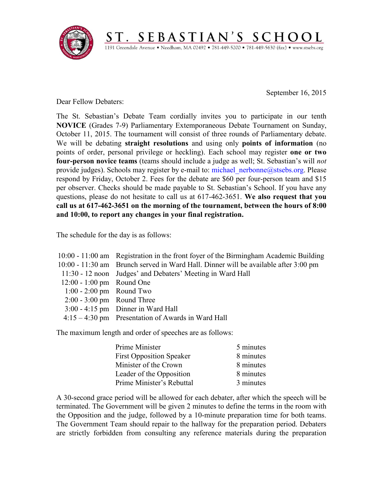

September 16, 2015

Dear Fellow Debaters:

The St. Sebastian's Debate Team cordially invites you to participate in our tenth **NOVICE** (Grades 7-9) Parliamentary Extemporaneous Debate Tournament on Sunday, October 11, 2015. The tournament will consist of three rounds of Parliamentary debate. We will be debating **straight resolutions** and using only **points of information** (no points of order, personal privilege or heckling). Each school may register **one or two four-person novice teams** (teams should include a judge as well; St. Sebastian's will *not*  provide judges). Schools may register by e-mail to: [michael\\_nerbonne@stsebs.org.](mailto:michael_nerbonne@stsebs.org) Please respond by Friday, October 2. Fees for the debate are \$60 per four-person team and \$15 per observer. Checks should be made payable to St. Sebastian's School. If you have any questions, please do not hesitate to call us at 617-462-3651. **We also request that you call us at 617-462-3651 on the morning of the tournament, between the hours of 8:00 and 10:00, to report any changes in your final registration.**

ST. SEBASTIAN'S SCHOOL 1191 Greendale Avenue · Needham, MA 02492 · 781-449-5200 · 781-449-5630 (fax) · www.stsebs.org

The schedule for the day is as follows:

|                              | 10:00 - 11:00 am Registration in the front foyer of the Birmingham Academic Building |
|------------------------------|--------------------------------------------------------------------------------------|
|                              | 10:00 - 11:30 am Brunch served in Ward Hall. Dinner will be available after 3:00 pm  |
|                              | 11:30 - 12 noon Judges' and Debaters' Meeting in Ward Hall                           |
| $12:00 - 1:00$ pm Round One  |                                                                                      |
| $1:00 - 2:00$ pm Round Two   |                                                                                      |
| $2:00 - 3:00$ pm Round Three |                                                                                      |
|                              | $3:00 - 4:15$ pm Dinner in Ward Hall                                                 |
|                              | $4:15-4:30$ pm Presentation of Awards in Ward Hall                                   |
|                              |                                                                                      |

The maximum length and order of speeches are as follows:

| Prime Minister                  | 5 minutes |
|---------------------------------|-----------|
| <b>First Opposition Speaker</b> | 8 minutes |
| Minister of the Crown           | 8 minutes |
| Leader of the Opposition        | 8 minutes |
| Prime Minister's Rebuttal       | 3 minutes |

A 30-second grace period will be allowed for each debater, after which the speech will be terminated. The Government will be given 2 minutes to define the terms in the room with the Opposition and the judge, followed by a 10-minute preparation time for both teams. The Government Team should repair to the hallway for the preparation period. Debaters are strictly forbidden from consulting any reference materials during the preparation